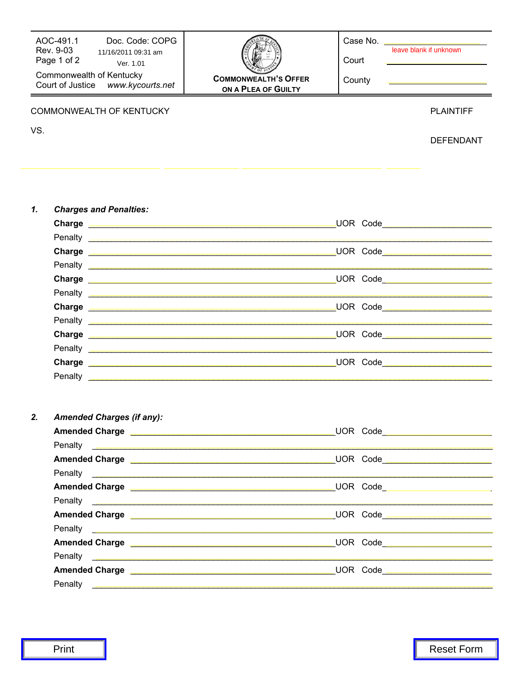| AOC-491.1<br>Doc. Code: COPG<br>Rev. 9-03<br>11/16/2011 09:31 am<br>Page 1 of 2<br>Ver. 1.01<br>Commonwealth of Kentucky<br>Court of Justice www.kycourts.net<br>COMMONWEALTH OF KENTUCKY<br>VS. | <b>COMMONWEALTH'S OFFER</b><br>ON A PLEA OF GUILTY                                                                                                                                                                                   | Case No. _________<br>Court<br>County | leave blank if unknown<br><u> 1989 - Andrea Brand, Amerikaansk politiker (</u><br><u> 1989 - Johann Barn, amerikansk politiker (d. 1989)</u><br><b>PLAINTIFF</b><br><b>DEFENDANT</b> |
|--------------------------------------------------------------------------------------------------------------------------------------------------------------------------------------------------|--------------------------------------------------------------------------------------------------------------------------------------------------------------------------------------------------------------------------------------|---------------------------------------|--------------------------------------------------------------------------------------------------------------------------------------------------------------------------------------|
| 1.<br><b>Charges and Penalties:</b>                                                                                                                                                              |                                                                                                                                                                                                                                      |                                       |                                                                                                                                                                                      |
|                                                                                                                                                                                                  |                                                                                                                                                                                                                                      |                                       |                                                                                                                                                                                      |
|                                                                                                                                                                                                  | Penalty <b>Executive Construction of the Construction Construction Construction</b><br>Penalty <b>Executive Communication</b> Construction Communication Communication Communication Communication Communication                     |                                       | the control of the control of the control of the control of the control of the control of                                                                                            |
|                                                                                                                                                                                                  |                                                                                                                                                                                                                                      |                                       |                                                                                                                                                                                      |
| 2.<br><b>Amended Charges (if any):</b>                                                                                                                                                           | Penalty <b>Example 2018</b> Penalty                                                                                                                                                                                                  |                                       |                                                                                                                                                                                      |
|                                                                                                                                                                                                  |                                                                                                                                                                                                                                      |                                       |                                                                                                                                                                                      |
|                                                                                                                                                                                                  | Penalty <u>experience and control and control and control and control and control and control and control and control and control and control and control and control and control and control and control and control and contro</u> |                                       |                                                                                                                                                                                      |
|                                                                                                                                                                                                  |                                                                                                                                                                                                                                      |                                       |                                                                                                                                                                                      |
|                                                                                                                                                                                                  |                                                                                                                                                                                                                                      |                                       |                                                                                                                                                                                      |
|                                                                                                                                                                                                  |                                                                                                                                                                                                                                      |                                       |                                                                                                                                                                                      |